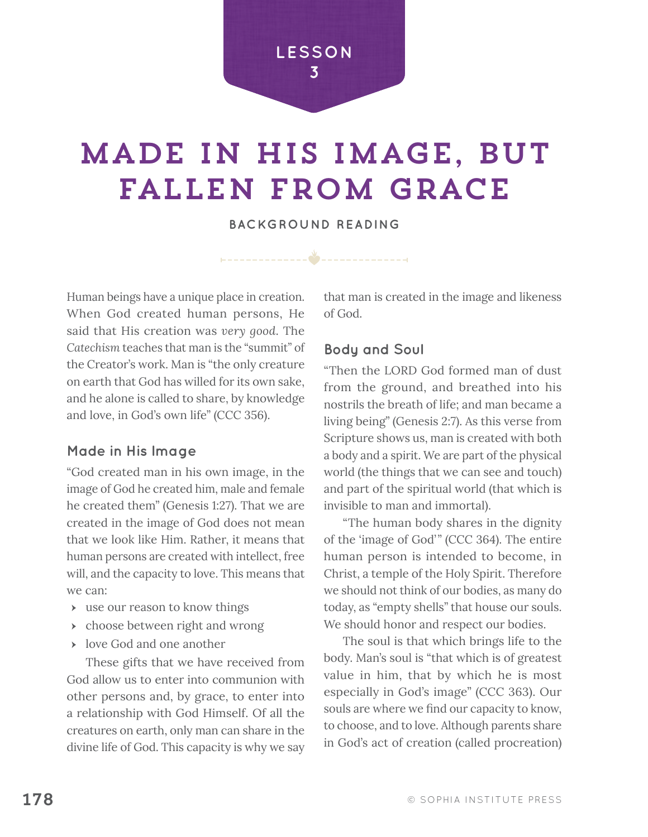

# Made in his image, but fallen from grace

**BACKGROUND READING**

\_\_\_\_**&\_** 

Human beings have a unique place in creation. When God created human persons, He said that His creation was *very good*. The *Catechism* teaches that man is the "summit" of the Creator's work. Man is "the only creature on earth that God has willed for its own sake, and he alone is called to share, by knowledge and love, in God's own life" (CCC 356).

#### **Made in His Image**

"God created man in his own image, in the image of God he created him, male and female he created them" (Genesis 1:27). That we are created in the image of God does not mean that we look like Him. Rather, it means that human persons are created with intellect, free will, and the capacity to love. This means that we can:

- $\rightarrow$  use our reason to know things
- **EXECUTE:** choose between right and wrong
- $\rightarrow$  love God and one another

These gifts that we have received from God allow us to enter into communion with other persons and, by grace, to enter into a relationship with God Himself. Of all the creatures on earth, only man can share in the divine life of God. This capacity is why we say that man is created in the image and likeness of God.

#### **Body and Soul**

"Then the LORD God formed man of dust from the ground, and breathed into his nostrils the breath of life; and man became a living being" (Genesis 2:7). As this verse from Scripture shows us, man is created with both a body and a spirit. We are part of the physical world (the things that we can see and touch) and part of the spiritual world (that which is invisible to man and immortal).

"The human body shares in the dignity of the 'image of God'" (CCC 364). The entire human person is intended to become, in Christ, a temple of the Holy Spirit. Therefore we should not think of our bodies, as many do today, as "empty shells" that house our souls. We should honor and respect our bodies.

The soul is that which brings life to the body. Man's soul is "that which is of greatest value in him, that by which he is most especially in God's image" (CCC 363). Our souls are where we find our capacity to know, to choose, and to love. Although parents share in God's act of creation (called procreation)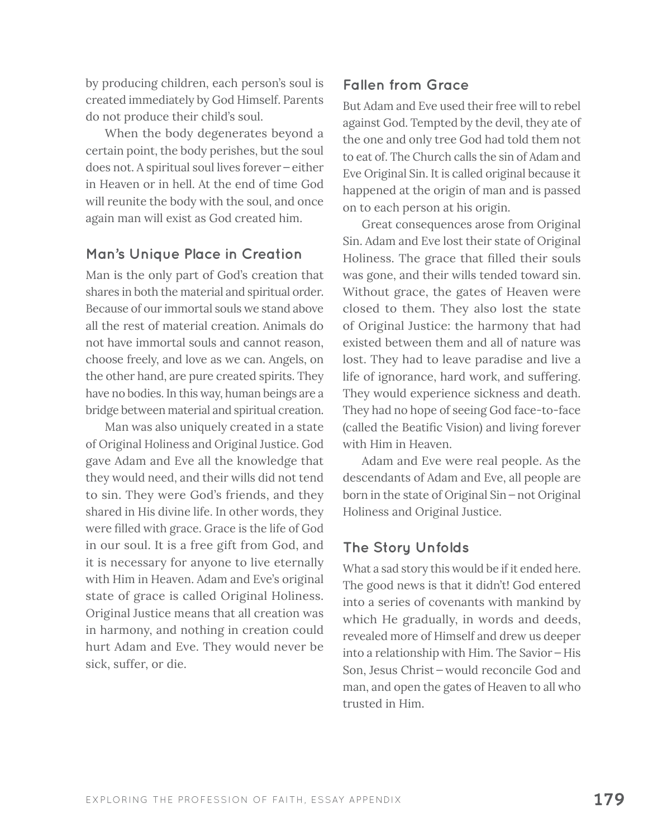by producing children, each person's soul is created immediately by God Himself. Parents do not produce their child's soul.

When the body degenerates beyond a certain point, the body perishes, but the soul does not. A spiritual soul lives forever—either in Heaven or in hell. At the end of time God will reunite the body with the soul, and once again man will exist as God created him.

### **Man's Unique Place in Creation**

Man is the only part of God's creation that shares in both the material and spiritual order. Because of our immortal souls we stand above all the rest of material creation. Animals do not have immortal souls and cannot reason, choose freely, and love as we can. Angels, on the other hand, are pure created spirits. They have no bodies. In this way, human beings are a bridge between material and spiritual creation.

Man was also uniquely created in a state of Original Holiness and Original Justice. God gave Adam and Eve all the knowledge that they would need, and their wills did not tend to sin. They were God's friends, and they shared in His divine life. In other words, they were filled with grace. Grace is the life of God in our soul. It is a free gift from God, and it is necessary for anyone to live eternally with Him in Heaven. Adam and Eve's original state of grace is called Original Holiness. Original Justice means that all creation was in harmony, and nothing in creation could hurt Adam and Eve. They would never be sick, suffer, or die.

### **Fallen from Grace**

But Adam and Eve used their free will to rebel against God. Tempted by the devil, they ate of the one and only tree God had told them not to eat of. The Church calls the sin of Adam and Eve Original Sin. It is called original because it happened at the origin of man and is passed on to each person at his origin.

Great consequences arose from Original Sin. Adam and Eve lost their state of Original Holiness. The grace that filled their souls was gone, and their wills tended toward sin. Without grace, the gates of Heaven were closed to them. They also lost the state of Original Justice: the harmony that had existed between them and all of nature was lost. They had to leave paradise and live a life of ignorance, hard work, and suffering. They would experience sickness and death. They had no hope of seeing God face-to-face (called the Beatific Vision) and living forever with Him in Heaven.

Adam and Eve were real people. As the descendants of Adam and Eve, all people are born in the state of Original Sin—not Original Holiness and Original Justice.

### **The Story Unfolds**

What a sad story this would be if it ended here. The good news is that it didn't! God entered into a series of covenants with mankind by which He gradually, in words and deeds, revealed more of Himself and drew us deeper into a relationship with Him. The Savior—His Son, Jesus Christ—would reconcile God and man, and open the gates of Heaven to all who trusted in Him.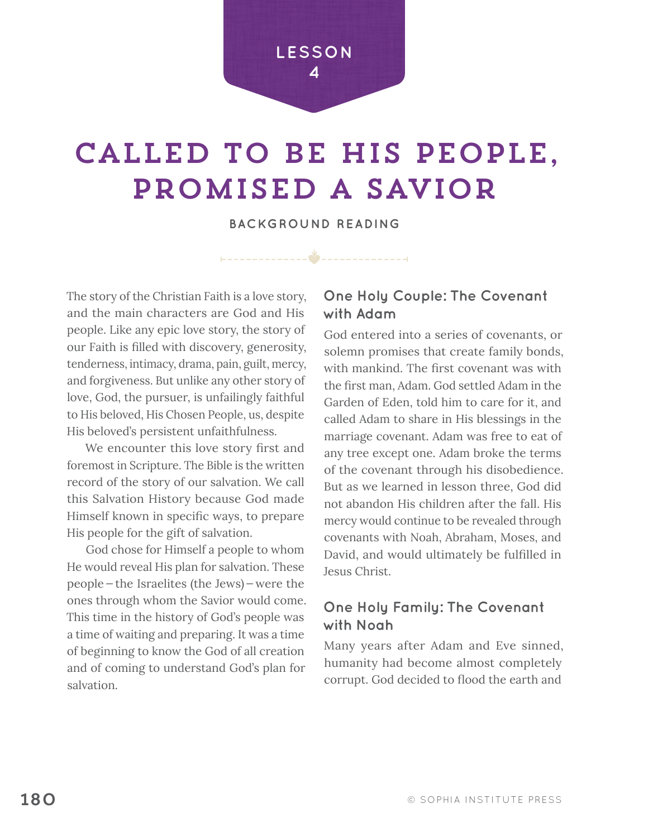### **LESSON 4**

# called to be his people, promised a savior

**BACKGROUND READING**

\_\_\_\_\_\_**\*\_**\_\_\_\_

The story of the Christian Faith is a love story, and the main characters are God and His people. Like any epic love story, the story of our Faith is filled with discovery, generosity, tenderness, intimacy, drama, pain, guilt, mercy, and forgiveness. But unlike any other story of love, God, the pursuer, is unfailingly faithful to His beloved, His Chosen People, us, despite His beloved's persistent unfaithfulness.

We encounter this love story first and foremost in Scripture. The Bible is the written record of the story of our salvation. We call this Salvation History because God made Himself known in specific ways, to prepare His people for the gift of salvation.

God chose for Himself a people to whom He would reveal His plan for salvation. These people—the Israelites (the Jews)—were the ones through whom the Savior would come. This time in the history of God's people was a time of waiting and preparing. It was a time of beginning to know the God of all creation and of coming to understand God's plan for salvation.

## **One Holy Couple: The Covenant with Adam**

God entered into a series of covenants, or solemn promises that create family bonds, with mankind. The first covenant was with the first man, Adam. God settled Adam in the Garden of Eden, told him to care for it, and called Adam to share in His blessings in the marriage covenant. Adam was free to eat of any tree except one. Adam broke the terms of the covenant through his disobedience. But as we learned in lesson three, God did not abandon His children after the fall. His mercy would continue to be revealed through covenants with Noah, Abraham, Moses, and David, and would ultimately be fulfilled in Jesus Christ.

## **One Holy Family: The Covenant with Noah**

Many years after Adam and Eve sinned, humanity had become almost completely corrupt. God decided to flood the earth and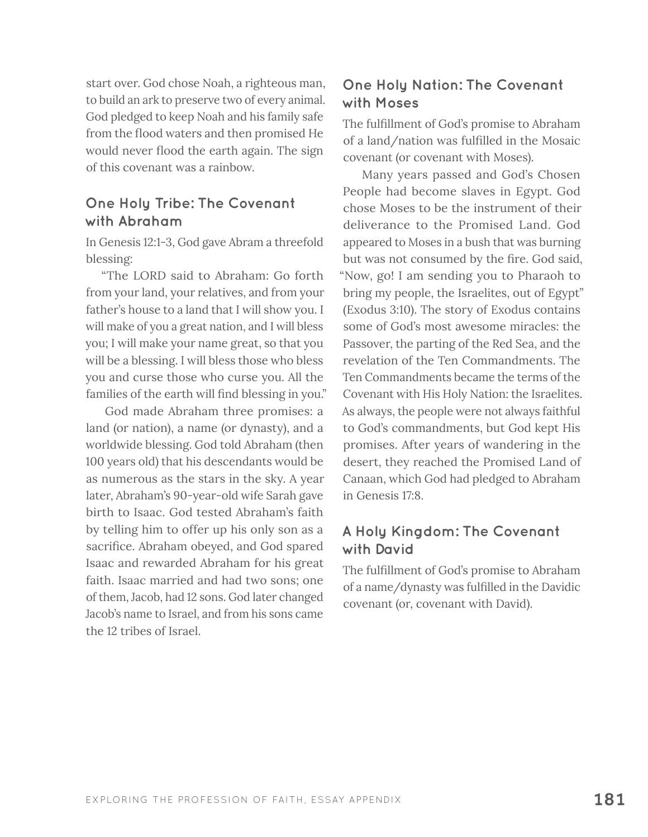start over. God chose Noah, a righteous man, to build an ark to preserve two of every animal. God pledged to keep Noah and his family safe from the flood waters and then promised He would never flood the earth again. The sign of this covenant was a rainbow.

### **One Holy Tribe: The Covenant with Abraham**

In Genesis 12:1-3, God gave Abram a threefold blessing:

"The LORD said to Abraham: Go forth from your land, your relatives, and from your father's house to a land that I will show you. I will make of you a great nation, and I will bless you; I will make your name great, so that you will be a blessing. I will bless those who bless you and curse those who curse you. All the families of the earth will find blessing in you."

God made Abraham three promises: a land (or nation), a name (or dynasty), and a worldwide blessing. God told Abraham (then 100 years old) that his descendants would be as numerous as the stars in the sky. A year later, Abraham's 90-year-old wife Sarah gave birth to Isaac. God tested Abraham's faith by telling him to offer up his only son as a sacrifice. Abraham obeyed, and God spared Isaac and rewarded Abraham for his great faith. Isaac married and had two sons; one of them, Jacob, had 12 sons. God later changed Jacob's name to Israel, and from his sons came the 12 tribes of Israel.

# **One Holy Nation: The Covenant with Moses**

The fulfillment of God's promise to Abraham of a land/nation was fulfilled in the Mosaic covenant (or covenant with Moses).

Many years passed and God's Chosen People had become slaves in Egypt. God chose Moses to be the instrument of their deliverance to the Promised Land. God appeared to Moses in a bush that was burning but was not consumed by the fire. God said, "Now, go! I am sending you to Pharaoh to bring my people, the Israelites, out of Egypt" (Exodus 3:10). The story of Exodus contains some of God's most awesome miracles: the Passover, the parting of the Red Sea, and the revelation of the Ten Commandments. The Ten Commandments became the terms of the Covenant with His Holy Nation: the Israelites. As always, the people were not always faithful to God's commandments, but God kept His promises. After years of wandering in the desert, they reached the Promised Land of Canaan, which God had pledged to Abraham in Genesis 17:8.

## **A Holy Kingdom: The Covenant with David**

The fulfillment of God's promise to Abraham of a name/dynasty was fulfilled in the Davidic covenant (or, covenant with David).